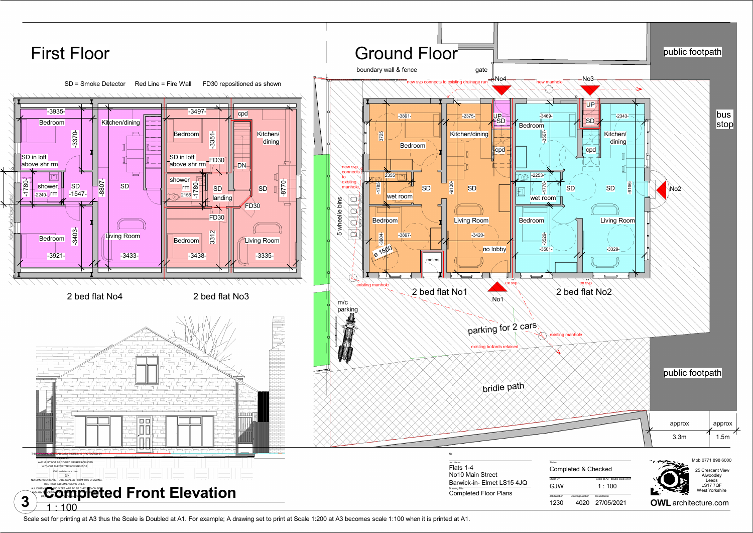Scale set for printing at A3 thus the Scale is Doubled at A1. For example; A drawing set to print at Scale 1:200 at A3 becomes scale 1:100 when it is printed at A1.